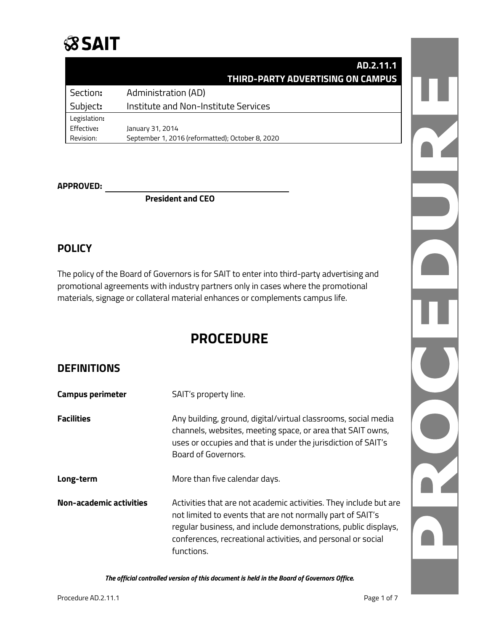## **SSAIT**

|              | AD.2.11.1                                        |  |
|--------------|--------------------------------------------------|--|
|              | THIRD-PARTY ADVERTISING ON CAMPUS                |  |
| Section:     | Administration (AD)                              |  |
| Subject:     | Institute and Non-Institute Services             |  |
| Legislation: |                                                  |  |
| Effective:   | January 31, 2014                                 |  |
| Revision:    | September 1, 2016 (reformatted); October 8, 2020 |  |

#### **APPROVED:**

**President and CEO**

### **POLICY**

The policy of the Board of Governors is for SAIT to enter into third-party advertising and promotional agreements with industry partners only in cases where the promotional materials, signage or collateral material enhances or complements campus life.

## **PROCEDURE**

### **DEFINITIONS**

| <b>Campus perimeter</b>        | SAIT's property line.                                                                                                                                                                                                                                                           |  |
|--------------------------------|---------------------------------------------------------------------------------------------------------------------------------------------------------------------------------------------------------------------------------------------------------------------------------|--|
| Facilities                     | Any building, ground, digital/virtual classrooms, social media<br>channels, websites, meeting space, or area that SAIT owns,<br>uses or occupies and that is under the jurisdiction of SAIT's<br>Board of Governors.                                                            |  |
| Long-term                      | More than five calendar days.                                                                                                                                                                                                                                                   |  |
| <b>Non-academic activities</b> | Activities that are not academic activities. They include but are<br>not limited to events that are not normally part of SAIT's<br>regular business, and include demonstrations, public displays,<br>conferences, recreational activities, and personal or social<br>functions. |  |

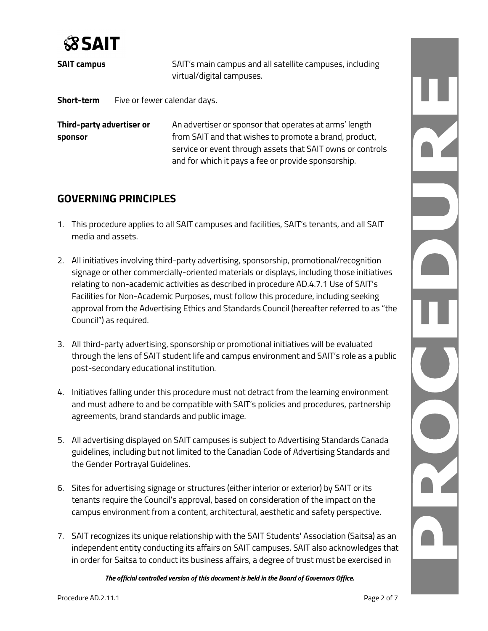

| <b>SAIT campus</b> | SAIT's main campus and all satellite campuses, including<br>virtual/digital campuses. |
|--------------------|---------------------------------------------------------------------------------------|
| Short-term         | Five or fewer calendar days.                                                          |

**Third-party advertiser or** An advertiser or sponsor that operates at arms' length **sponsor sponsor from SAIT** and that wishes to promote a brand, product, service or event through assets that SAIT owns or controls and for which it pays a fee or provide sponsorship.

## **GOVERNING PRINCIPLES**

- 1. This procedure applies to all SAIT campuses and facilities, SAIT's tenants, and all SAIT media and assets.
- 2. All initiatives involving third-party advertising, sponsorship, promotional/recognition signage or other commercially-oriented materials or displays, including those initiatives relating to non-academic activities as described in procedure AD.4.7.1 Use of SAIT's Facilities for Non-Academic Purposes, must follow this procedure, including seeking approval from the Advertising Ethics and Standards Council (hereafter referred to as "the Council") as required.
- 3. All third-party advertising, sponsorship or promotional initiatives will be evaluated through the lens of SAIT student life and campus environment and SAIT's role as a public post-secondary educational institution.
- 4. Initiatives falling under this procedure must not detract from the learning environment and must adhere to and be compatible with SAIT's policies and procedures, partnership agreements, brand standards and public image.
- 5. All advertising displayed on SAIT campuses is subject to Advertising Standards Canada guidelines, including but not limited to the Canadian Code of Advertising Standards and the Gender Portrayal Guidelines.
- 6. Sites for advertising signage or structures (either interior or exterior) by SAIT or its tenants require the Council's approval, based on consideration of the impact on the campus environment from a content, architectural, aesthetic and safety perspective.
- 7. SAIT recognizes its unique relationship with the SAIT Students' Association (Saitsa) as an independent entity conducting its affairs on SAIT campuses. SAIT also acknowledges that in order for Saitsa to conduct its business affairs, a degree of trust must be exercised in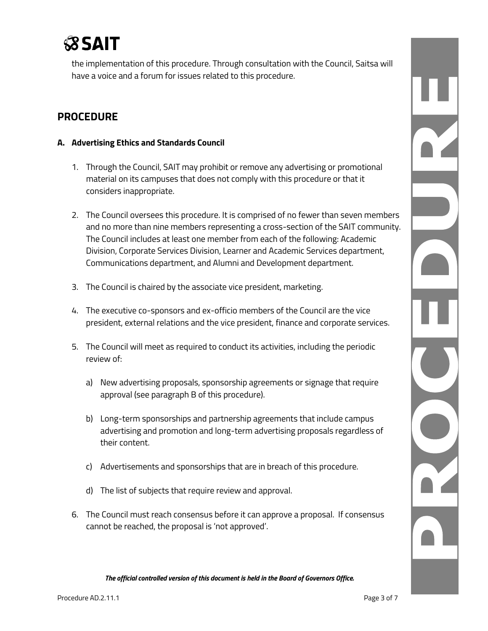

the implementation of this procedure. Through consultation with the Council, Saitsa will have a voice and a forum for issues related to this procedure.

### **PROCEDURE**

#### **A. Advertising Ethics and Standards Council**

- 1. Through the Council, SAIT may prohibit or remove any advertising or promotional material on its campuses that does not comply with this procedure or that it considers inappropriate.
- 2. The Council oversees this procedure. It is comprised of no fewer than seven members and no more than nine members representing a cross-section of the SAIT community. The Council includes at least one member from each of the following: Academic Division, Corporate Services Division, Learner and Academic Services department, Communications department, and Alumni and Development department.
- 3. The Council is chaired by the associate vice president, marketing.
- 4. The executive co-sponsors and ex-officio members of the Council are the vice president, external relations and the vice president, finance and corporate services.
- 5. The Council will meet as required to conduct its activities, including the periodic review of:
	- a) New advertising proposals, sponsorship agreements or signage that require approval (see paragraph B of this procedure).
	- b) Long-term sponsorships and partnership agreements that include campus advertising and promotion and long-term advertising proposals regardless of their content.
	- c) Advertisements and sponsorships that are in breach of this procedure.
	- d) The list of subjects that require review and approval.
- 6. The Council must reach consensus before it can approve a proposal. If consensus cannot be reached, the proposal is 'not approved'.

*The official controlled version of this document is held in the Board of Governors Office.*

NONCI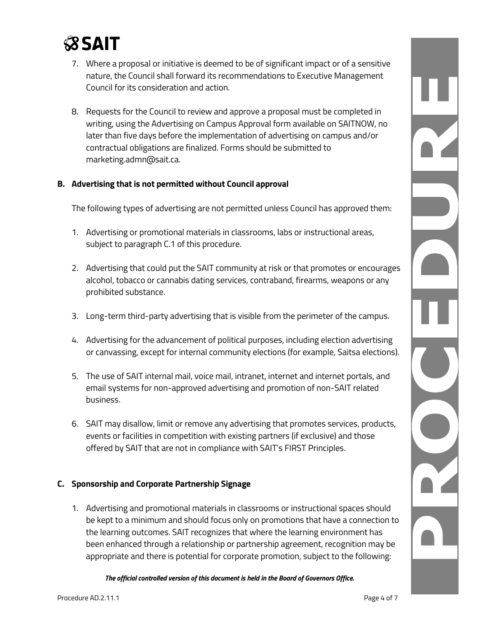

- 7. Where a proposal or initiative is deemed to be of significant impact or of a sensitive nature, the Council shall forward its recommendations to Executive Management Council for its consideration and action.
- 8. Requests for the Council to review and approve a proposal must be completed in writing, using the Advertising on Campus Approval form available on SAITNOW, no later than five days before the implementation of advertising on campus and/or contractual obligations are finalized. Forms should be submitted to marketing.admn@sait.ca.

#### **B. Advertising that is not permitted without Council approval**

The following types of advertising are not permitted unless Council has approved them:

- 1. Advertising or promotional materials in classrooms, labs or instructional areas, subject to paragraph C.1 of this procedure.
- 2. Advertising that could put the SAIT community at risk or that promotes or encourages alcohol, tobacco or cannabis dating services, contraband, firearms, weapons or any prohibited substance.
- 3. Long-term third-party advertising that is visible from the perimeter of the campus.
- 4. Advertising for the advancement of political purposes, including election advertising or canvassing, except for internal community elections (for example, Saitsa elections).
- 5. The use of SAIT internal mail, voice mail, intranet, internet and internet portals, and email systems for non-approved advertising and promotion of non-SAIT related business.
- 6. SAIT may disallow, limit or remove any advertising that promotes services, products, events or facilities in competition with existing partners (if exclusive) and those offered by SAIT that are not in compliance with SAIT's FIRST Principles.

#### **C. Sponsorship and Corporate Partnership Signage**

1. Advertising and promotional materials in classrooms or instructional spaces should be kept to a minimum and should focus only on promotions that have a connection to the learning outcomes. SAIT recognizes that where the learning environment has been enhanced through a relationship or partnership agreement, recognition may be appropriate and there is potential for corporate promotion, subject to the following:

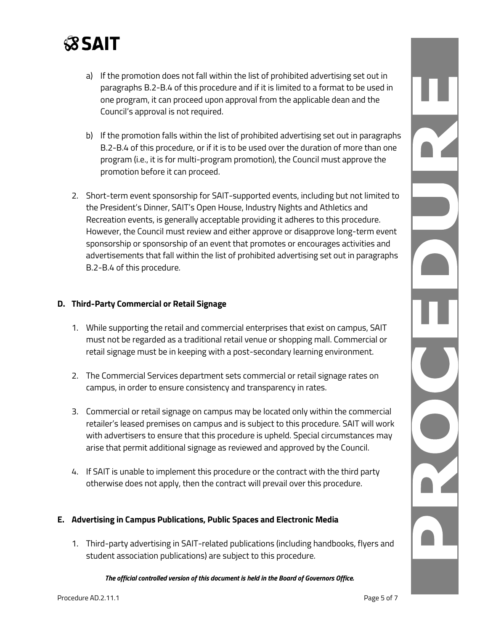

- a) If the promotion does not fall within the list of prohibited advertising set out in paragraphs B.2-B.4 of this procedure and if it is limited to a format to be used in one program, it can proceed upon approval from the applicable dean and the Council's approval is not required.
- b) If the promotion falls within the list of prohibited advertising set out in paragraphs B.2-B.4 of this procedure, or if it is to be used over the duration of more than one program (i.e., it is for multi-program promotion), the Council must approve the promotion before it can proceed.
- 2. Short-term event sponsorship for SAIT-supported events, including but not limited to the President's Dinner, SAIT's Open House, Industry Nights and Athletics and Recreation events, is generally acceptable providing it adheres to this procedure. However, the Council must review and either approve or disapprove long-term event sponsorship or sponsorship of an event that promotes or encourages activities and advertisements that fall within the list of prohibited advertising set out in paragraphs B.2-B.4 of this procedure.

#### **D. Third-Party Commercial or Retail Signage**

- 1. While supporting the retail and commercial enterprises that exist on campus, SAIT must not be regarded as a traditional retail venue or shopping mall. Commercial or retail signage must be in keeping with a post-secondary learning environment.
- 2. The Commercial Services department sets commercial or retail signage rates on campus, in order to ensure consistency and transparency in rates.
- 3. Commercial or retail signage on campus may be located only within the commercial retailer's leased premises on campus and is subject to this procedure. SAIT will work with advertisers to ensure that this procedure is upheld. Special circumstances may arise that permit additional signage as reviewed and approved by the Council.
- 4. If SAIT is unable to implement this procedure or the contract with the third party otherwise does not apply, then the contract will prevail over this procedure.

#### **E. Advertising in Campus Publications, Public Spaces and Electronic Media**

1. Third-party advertising in SAIT-related publications (including handbooks, flyers and student association publications) are subject to this procedure.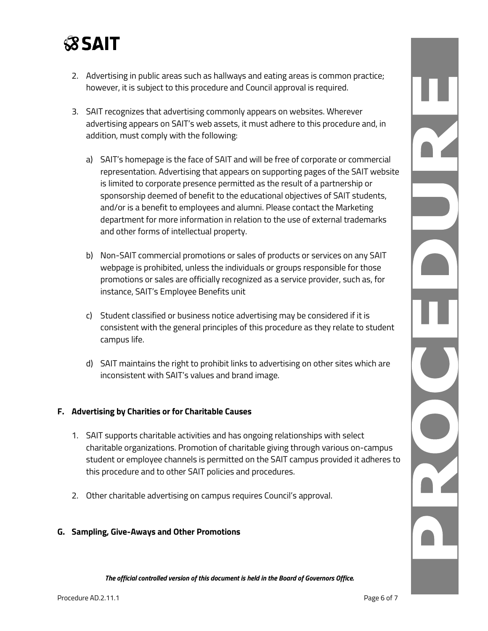## **SSAIT**

- 2. Advertising in public areas such as hallways and eating areas is common practice; however, it is subject to this procedure and Council approval is required.
- 3. SAIT recognizes that advertising commonly appears on websites. Wherever advertising appears on SAIT's web assets, it must adhere to this procedure and, in addition, must comply with the following:
	- a) SAIT's homepage is the face of SAIT and will be free of corporate or commercial representation. Advertising that appears on supporting pages of the SAIT website is limited to corporate presence permitted as the result of a partnership or sponsorship deemed of benefit to the educational objectives of SAIT students, and/or is a benefit to employees and alumni. Please contact the Marketing department for more information in relation to the use of external trademarks and other forms of intellectual property.
	- b) Non-SAIT commercial promotions or sales of products or services on any SAIT webpage is prohibited, unless the individuals or groups responsible for those promotions or sales are officially recognized as a service provider, such as, for instance, SAIT's Employee Benefits unit
	- c) Student classified or business notice advertising may be considered if it is consistent with the general principles of this procedure as they relate to student campus life.
	- d) SAIT maintains the right to prohibit links to advertising on other sites which are inconsistent with SAIT's values and brand image.

#### **F. Advertising by Charities or for Charitable Causes**

- 1. SAIT supports charitable activities and has ongoing relationships with select charitable organizations. Promotion of charitable giving through various on-campus student or employee channels is permitted on the SAIT campus provided it adheres to this procedure and to other SAIT policies and procedures.
- 2. Other charitable advertising on campus requires Council's approval.

#### **G. Sampling, Give-Aways and Other Promotions**